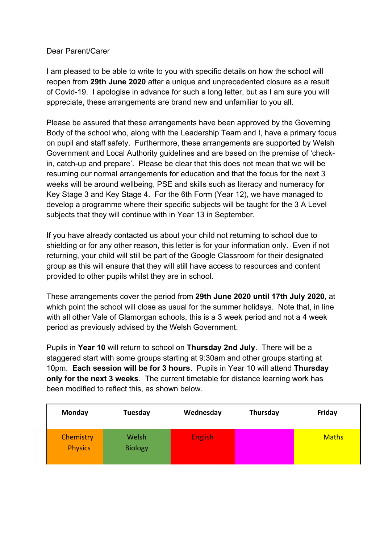### Dear Parent/Carer

I am pleased to be able to write to you with specific details on how the school will reopen from **29th June 2020** after a unique and unprecedented closure as a result of Covid-19. I apologise in advance for such a long letter, but as I am sure you will appreciate, these arrangements are brand new and unfamiliar to you all.

Please be assured that these arrangements have been approved by the Governing Body of the school who, along with the Leadership Team and I, have a primary focus on pupil and staff safety. Furthermore, these arrangements are supported by Welsh Government and Local Authority guidelines and are based on the premise of 'checkin, catch-up and prepare'. Please be clear that this does not mean that we will be resuming our normal arrangements for education and that the focus for the next 3 weeks will be around wellbeing, PSE and skills such as literacy and numeracy for Key Stage 3 and Key Stage 4. For the 6th Form (Year 12), we have managed to develop a programme where their specific subjects will be taught for the 3 A Level subjects that they will continue with in Year 13 in September.

If you have already contacted us about your child not returning to school due to shielding or for any other reason, this letter is for your information only. Even if not returning, your child will still be part of the Google Classroom for their designated group as this will ensure that they will still have access to resources and content provided to other pupils whilst they are in school.

These arrangements cover the period from **29th June 2020 until 17th July 2020**, at which point the school will close as usual for the summer holidays. Note that, in line with all other Vale of Glamorgan schools, this is a 3 week period and not a 4 week period as previously advised by the Welsh Government.

Pupils in **Year 10** will return to school on **Thursday 2nd July**. There will be a staggered start with some groups starting at 9:30am and other groups starting at 10pm. **Each session will be for 3 hours**. Pupils in Year 10 will attend **Thursday only for the next 3 weeks**. The current timetable for distance learning work has been modified to reflect this, as shown below.

| Monday                      | Tuesday                 | Wednesday      | Thursday | Friday       |
|-----------------------------|-------------------------|----------------|----------|--------------|
| Chemistry<br><b>Physics</b> | Welsh<br><b>Biology</b> | <b>English</b> |          | <b>Maths</b> |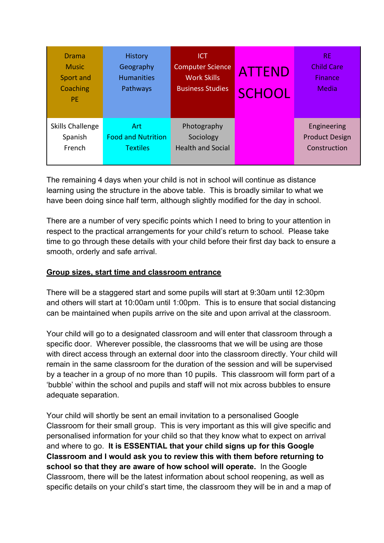| Drama<br><b>Music</b><br>Sport and<br>Coaching<br><b>PE</b> | <b>History</b><br>Geography<br><b>Humanities</b><br>Pathways | <b>ICT</b><br>Computer Science<br><b>Work Skills</b><br><b>Business Studies</b> | <b>ATTEND</b><br><b>SCHOOL</b> | <b>RE</b><br><b>Child Care</b><br><b>Finance</b><br>Media |
|-------------------------------------------------------------|--------------------------------------------------------------|---------------------------------------------------------------------------------|--------------------------------|-----------------------------------------------------------|
| <b>Skills Challenge</b>                                     | Art.                                                         | Photography                                                                     |                                | Engineering                                               |
| Spanish                                                     | <b>Food and Nutrition</b>                                    | Sociology                                                                       |                                | <b>Product Design</b>                                     |
| French                                                      | <b>Textiles</b>                                              | <b>Health and Social</b>                                                        |                                | Construction                                              |

The remaining 4 days when your child is not in school will continue as distance learning using the structure in the above table. This is broadly similar to what we have been doing since half term, although slightly modified for the day in school.

There are a number of very specific points which I need to bring to your attention in respect to the practical arrangements for your child's return to school. Please take time to go through these details with your child before their first day back to ensure a smooth, orderly and safe arrival.

## **Group sizes, start time and classroom entrance**

There will be a staggered start and some pupils will start at 9:30am until 12:30pm and others will start at 10:00am until 1:00pm. This is to ensure that social distancing can be maintained when pupils arrive on the site and upon arrival at the classroom.

Your child will go to a designated classroom and will enter that classroom through a specific door. Wherever possible, the classrooms that we will be using are those with direct access through an external door into the classroom directly. Your child will remain in the same classroom for the duration of the session and will be supervised by a teacher in a group of no more than 10 pupils. This classroom will form part of a 'bubble' within the school and pupils and staff will not mix across bubbles to ensure adequate separation.

Your child will shortly be sent an email invitation to a personalised Google Classroom for their small group. This is very important as this will give specific and personalised information for your child so that they know what to expect on arrival and where to go. **It is ESSENTIAL that your child signs up for this Google Classroom and I would ask you to review this with them before returning to school so that they are aware of how school will operate.** In the Google Classroom, there will be the latest information about school reopening, as well as specific details on your child's start time, the classroom they will be in and a map of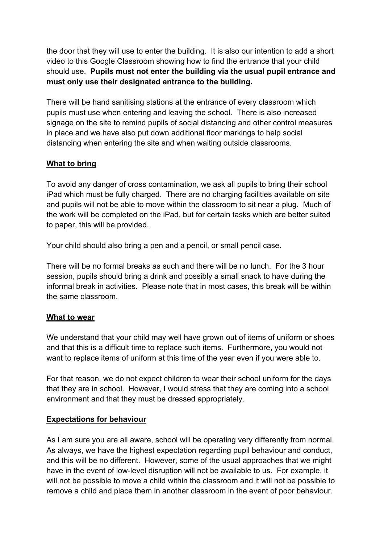the door that they will use to enter the building. It is also our intention to add a short video to this Google Classroom showing how to find the entrance that your child should use. **Pupils must not enter the building via the usual pupil entrance and must only use their designated entrance to the building.**

There will be hand sanitising stations at the entrance of every classroom which pupils must use when entering and leaving the school. There is also increased signage on the site to remind pupils of social distancing and other control measures in place and we have also put down additional floor markings to help social distancing when entering the site and when waiting outside classrooms.

# **What to bring**

To avoid any danger of cross contamination, we ask all pupils to bring their school iPad which must be fully charged. There are no charging facilities available on site and pupils will not be able to move within the classroom to sit near a plug. Much of the work will be completed on the iPad, but for certain tasks which are better suited to paper, this will be provided.

Your child should also bring a pen and a pencil, or small pencil case.

There will be no formal breaks as such and there will be no lunch. For the 3 hour session, pupils should bring a drink and possibly a small snack to have during the informal break in activities. Please note that in most cases, this break will be within the same classroom.

## **What to wear**

We understand that your child may well have grown out of items of uniform or shoes and that this is a difficult time to replace such items. Furthermore, you would not want to replace items of uniform at this time of the year even if you were able to.

For that reason, we do not expect children to wear their school uniform for the days that they are in school. However, I would stress that they are coming into a school environment and that they must be dressed appropriately.

## **Expectations for behaviour**

As I am sure you are all aware, school will be operating very differently from normal. As always, we have the highest expectation regarding pupil behaviour and conduct, and this will be no different. However, some of the usual approaches that we might have in the event of low-level disruption will not be available to us. For example, it will not be possible to move a child within the classroom and it will not be possible to remove a child and place them in another classroom in the event of poor behaviour.